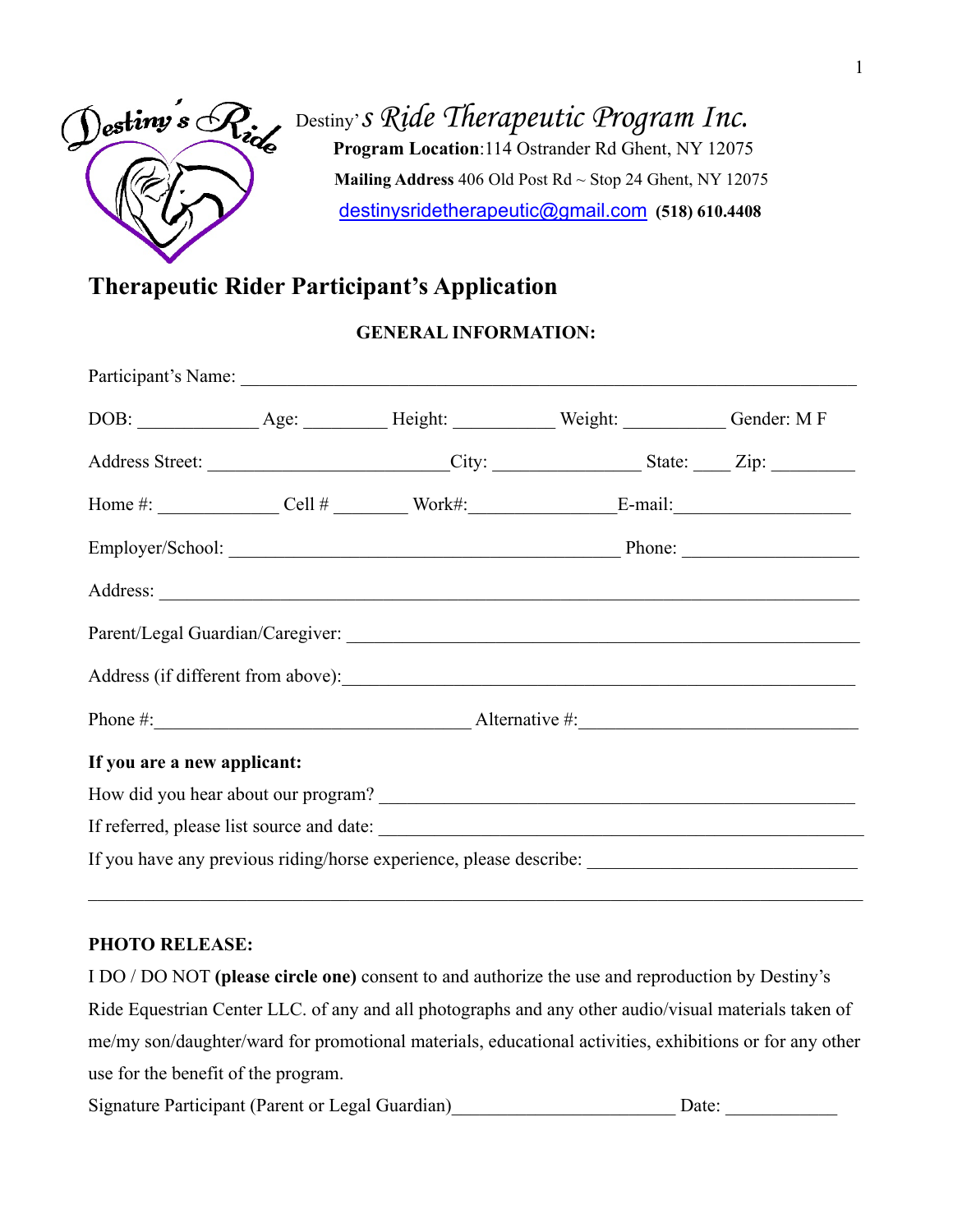

Destiny's Ride Therapeutic Program Inc.  **Program Location**:114 Ostrander Rd Ghent, NY 12075  **Mailing Address** 406 Old Post Rd ~ Stop 24 Ghent, NY 12075 [destinysridetherapeutic@gmail.com](mailto:destinysridetherapeutic@gmail.com) **(518) 610.4408**

## **Therapeutic Rider Participant's Application**

#### **GENERAL INFORMATION:**

|                             |  |  | Home #: $\_\_\_\_\_$ Cell # Work#: E-mail:                                                          |  |
|-----------------------------|--|--|-----------------------------------------------------------------------------------------------------|--|
|                             |  |  |                                                                                                     |  |
|                             |  |  |                                                                                                     |  |
|                             |  |  |                                                                                                     |  |
|                             |  |  | Address (if different from above):                                                                  |  |
|                             |  |  |                                                                                                     |  |
| If you are a new applicant: |  |  |                                                                                                     |  |
|                             |  |  |                                                                                                     |  |
|                             |  |  |                                                                                                     |  |
|                             |  |  | If you have any previous riding/horse experience, please describe: ________________________________ |  |

#### **PHOTO RELEASE:**

I DO / DO NOT **(please circle one)** consent to and authorize the use and reproduction by Destiny's Ride Equestrian Center LLC. of any and all photographs and any other audio/visual materials taken of me/my son/daughter/ward for promotional materials, educational activities, exhibitions or for any other use for the benefit of the program.

\_\_\_\_\_\_\_\_\_\_\_\_\_\_\_\_\_\_\_\_\_\_\_\_\_\_\_\_\_\_\_\_\_\_\_\_\_\_\_\_\_\_\_\_\_\_\_\_\_\_\_\_\_\_\_\_\_\_\_\_\_\_\_\_\_\_\_\_\_\_\_\_\_\_\_\_\_\_\_\_\_\_\_

Signature Participant (Parent or Legal Guardian) \_\_\_\_\_\_\_\_\_\_\_\_\_\_\_\_\_\_\_\_\_\_ Date: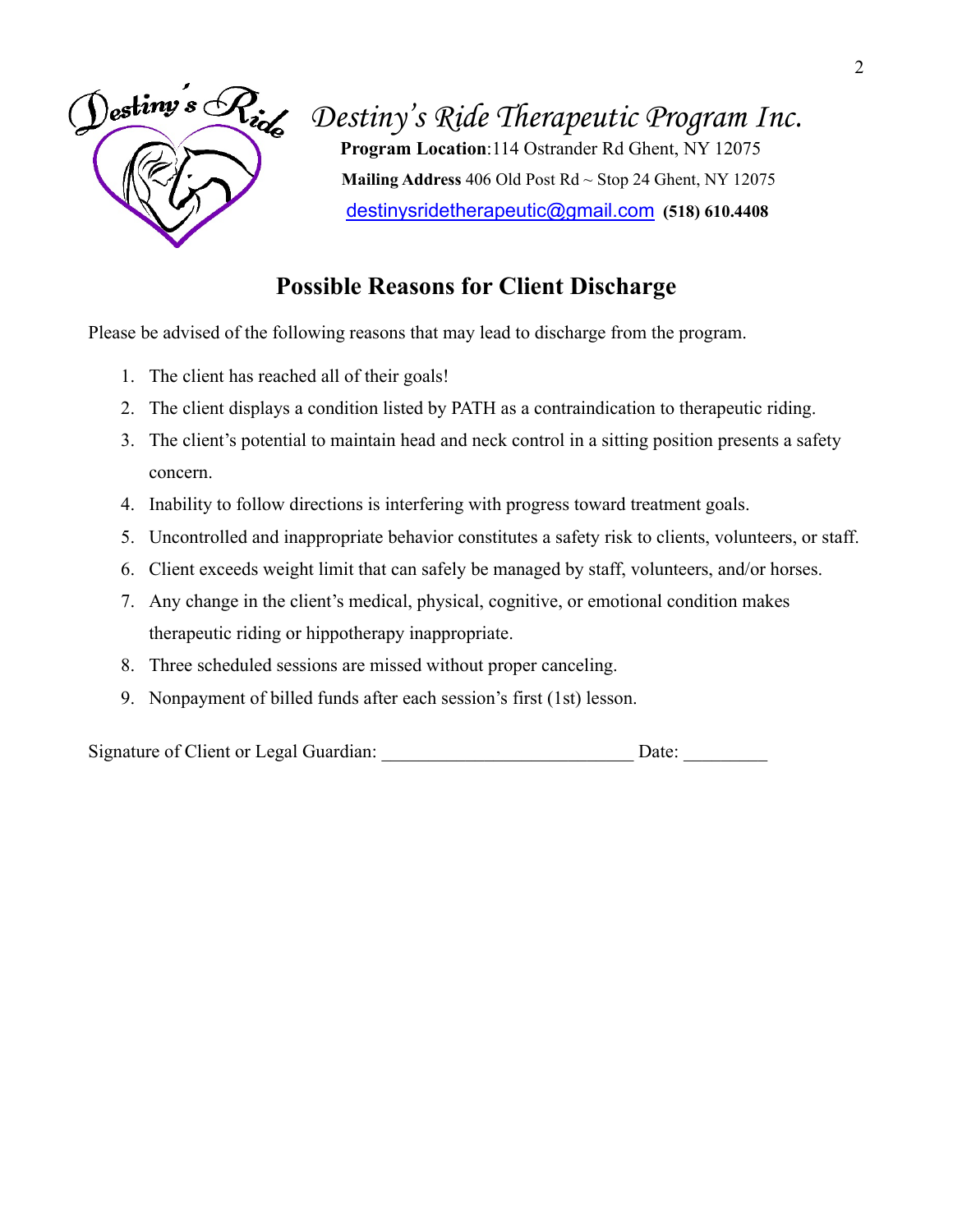

*Destiny's Ride Therapeutic Program Inc.* **Program Location**:114 Ostrander Rd Ghent, NY 12075  **Mailing Address** 406 Old Post Rd ~ Stop 24 Ghent, NY 12075

[destinysridetherapeutic@gmail.com](mailto:destinysridetherapeutic@gmail.com) **(518) 610.4408**

## **Possible Reasons for Client Discharge**

Please be advised of the following reasons that may lead to discharge from the program.

- 1. The client has reached all of their goals!
- 2. The client displays a condition listed by PATH as a contraindication to therapeutic riding.
- 3. The client's potential to maintain head and neck control in a sitting position presents a safety concern.
- 4. Inability to follow directions is interfering with progress toward treatment goals.
- 5. Uncontrolled and inappropriate behavior constitutes a safety risk to clients, volunteers, or staff.
- 6. Client exceeds weight limit that can safely be managed by staff, volunteers, and/or horses.
- 7. Any change in the client's medical, physical, cognitive, or emotional condition makes therapeutic riding or hippotherapy inappropriate.
- 8. Three scheduled sessions are missed without proper canceling.
- 9. Nonpayment of billed funds after each session's first (1st) lesson.

Signature of Client or Legal Guardian: \_\_\_\_\_\_\_\_\_\_\_\_\_\_\_\_\_\_\_\_\_\_\_\_\_\_\_\_\_\_\_\_\_\_\_ Date: \_\_\_\_\_\_\_\_\_\_\_\_\_\_\_\_\_\_\_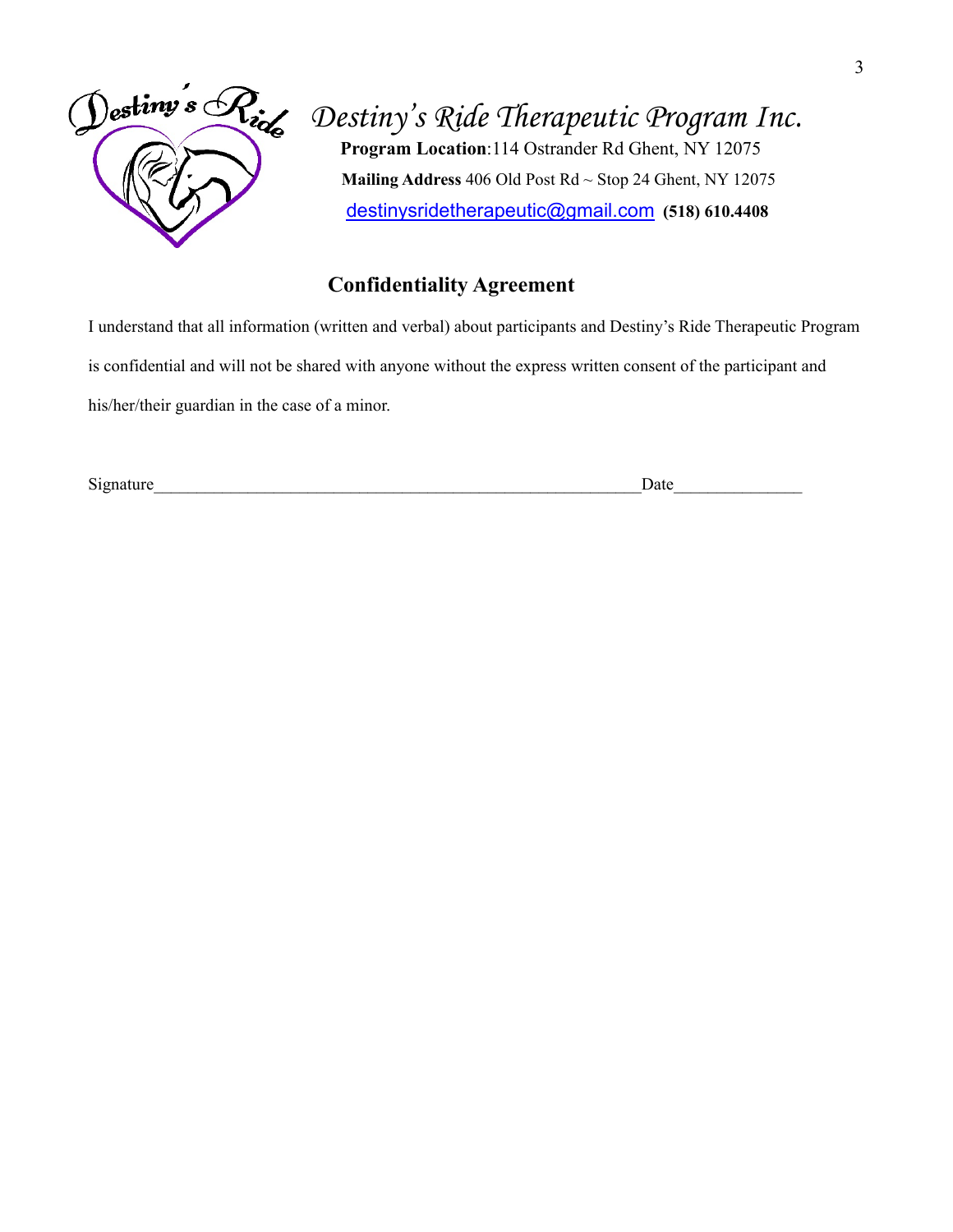

# *Destiny' s Ride Therapeutic Program Inc.* **Program Location**:114 Ostrander Rd Ghent, NY 12075

 **Mailing Address** 406 Old Post Rd ~ Stop 24 Ghent, NY 12075 [destinysridetherapeutic@gmail.com](mailto:destinysridetherapeutic@gmail.com) **(518) 610.4408**

#### **Confidentiality Agreement**

I understand that all information (written and verbal) about participants and Destiny's Ride Therapeutic Program is confidential and will not be shared with anyone without the express written consent of the participant and his/her/their guardian in the case of a minor.

Signature **Date**